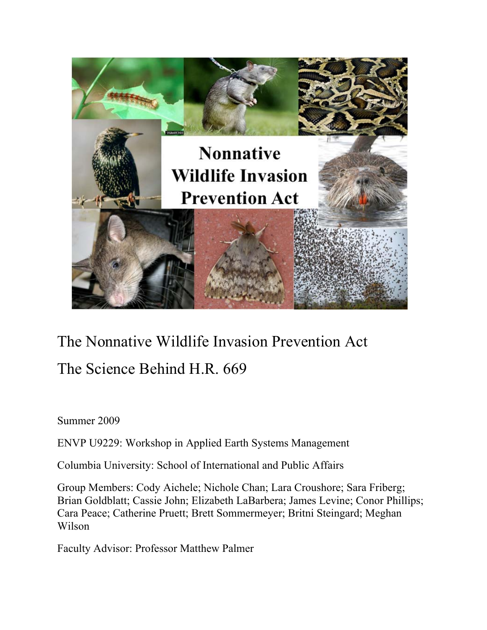

# The Nonnative Wildlife Invasion Prevention Act The Science Behind H.R. 669

Summer 2009

ENVP U9229: Workshop in Applied Earth Systems Management

Columbia University: School of International and Public Affairs

Group Members: Cody Aichele; Nichole Chan; Lara Croushore; Sara Friberg; Brian Goldblatt; Cassie John; Elizabeth LaBarbera; James Levine; Conor Phillips; Cara Peace; Catherine Pruett; Brett Sommermeyer; Britni Steingard; Meghan Wilson

Faculty Advisor: Professor Matthew Palmer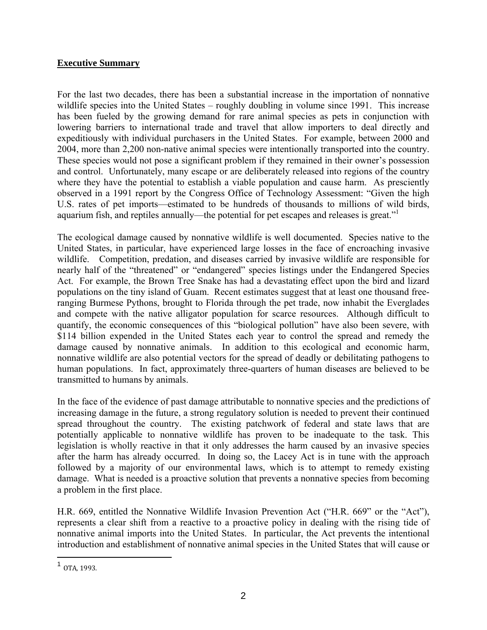#### **Executive Summary**

For the last two decades, there has been a substantial increase in the importation of nonnative wildlife species into the United States – roughly doubling in volume since 1991. This increase has been fueled by the growing demand for rare animal species as pets in conjunction with lowering barriers to international trade and travel that allow importers to deal directly and expeditiously with individual purchasers in the United States. For example, between 2000 and 2004, more than 2,200 non-native animal species were intentionally transported into the country. These species would not pose a significant problem if they remained in their owner's possession and control. Unfortunately, many escape or are deliberately released into regions of the country where they have the potential to establish a viable population and cause harm. As presciently observed in a 1991 report by the Congress Office of Technology Assessment: "Given the high U.S. rates of pet imports—estimated to be hundreds of thousands to millions of wild birds, aquarium fish, and reptiles annually—the potential for pet escapes and releases is great."

The ecological damage caused by nonnative wildlife is well documented. Species native to the United States, in particular, have experienced large losses in the face of encroaching invasive wildlife. Competition, predation, and diseases carried by invasive wildlife are responsible for nearly half of the "threatened" or "endangered" species listings under the Endangered Species Act. For example, the Brown Tree Snake has had a devastating effect upon the bird and lizard populations on the tiny island of Guam. Recent estimates suggest that at least one thousand freeranging Burmese Pythons, brought to Florida through the pet trade, now inhabit the Everglades and compete with the native alligator population for scarce resources. Although difficult to quantify, the economic consequences of this "biological pollution" have also been severe, with \$114 billion expended in the United States each year to control the spread and remedy the damage caused by nonnative animals. In addition to this ecological and economic harm, nonnative wildlife are also potential vectors for the spread of deadly or debilitating pathogens to human populations. In fact, approximately three-quarters of human diseases are believed to be transmitted to humans by animals.

In the face of the evidence of past damage attributable to nonnative species and the predictions of increasing damage in the future, a strong regulatory solution is needed to prevent their continued spread throughout the country. The existing patchwork of federal and state laws that are potentially applicable to nonnative wildlife has proven to be inadequate to the task. This legislation is wholly reactive in that it only addresses the harm caused by an invasive species after the harm has already occurred. In doing so, the Lacey Act is in tune with the approach followed by a majority of our environmental laws, which is to attempt to remedy existing damage. What is needed is a proactive solution that prevents a nonnative species from becoming a problem in the first place.

H.R. 669, entitled the Nonnative Wildlife Invasion Prevention Act ("H.R. 669" or the "Act"), represents a clear shift from a reactive to a proactive policy in dealing with the rising tide of nonnative animal imports into the United States. In particular, the Act prevents the intentional introduction and establishment of nonnative animal species in the United States that will cause or

 $\overline{a}$ 

 $1$  OTA, 1993.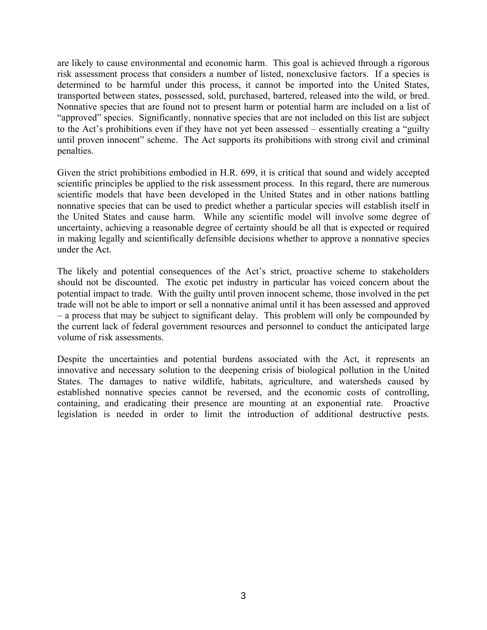are likely to cause environmental and economic harm. This goal is achieved through a rigorous risk assessment process that considers a number of listed, nonexclusive factors. If a species is determined to be harmful under this process, it cannot be imported into the United States, transported between states, possessed, sold, purchased, bartered, released into the wild, or bred. Nonnative species that are found not to present harm or potential harm are included on a list of "approved" species. Significantly, nonnative species that are not included on this list are subject to the Act's prohibitions even if they have not yet been assessed – essentially creating a "guilty until proven innocent" scheme. The Act supports its prohibitions with strong civil and criminal penalties.

Given the strict prohibitions embodied in H.R. 699, it is critical that sound and widely accepted scientific principles be applied to the risk assessment process. In this regard, there are numerous scientific models that have been developed in the United States and in other nations battling nonnative species that can be used to predict whether a particular species will establish itself in the United States and cause harm. While any scientific model will involve some degree of uncertainty, achieving a reasonable degree of certainty should be all that is expected or required in making legally and scientifically defensible decisions whether to approve a nonnative species under the Act.

The likely and potential consequences of the Act's strict, proactive scheme to stakeholders should not be discounted. The exotic pet industry in particular has voiced concern about the potential impact to trade. With the guilty until proven innocent scheme, those involved in the pet trade will not be able to import or sell a nonnative animal until it has been assessed and approved – a process that may be subject to significant delay. This problem will only be compounded by the current lack of federal government resources and personnel to conduct the anticipated large volume of risk assessments.

Despite the uncertainties and potential burdens associated with the Act, it represents an innovative and necessary solution to the deepening crisis of biological pollution in the United States. The damages to native wildlife, habitats, agriculture, and watersheds caused by established nonnative species cannot be reversed, and the economic costs of controlling, containing, and eradicating their presence are mounting at an exponential rate. Proactive legislation is needed in order to limit the introduction of additional destructive pests.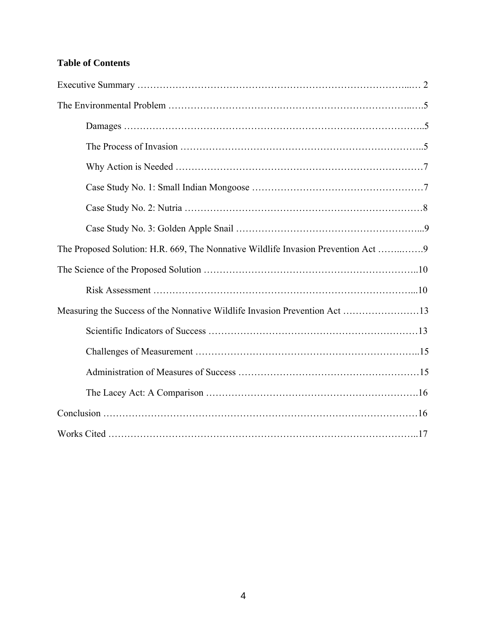## **Table of Contents**

| The Proposed Solution: H.R. 669, The Nonnative Wildlife Invasion Prevention Act 9 |  |
|-----------------------------------------------------------------------------------|--|
|                                                                                   |  |
|                                                                                   |  |
| Measuring the Success of the Nonnative Wildlife Invasion Prevention Act 13        |  |
|                                                                                   |  |
|                                                                                   |  |
|                                                                                   |  |
|                                                                                   |  |
|                                                                                   |  |
|                                                                                   |  |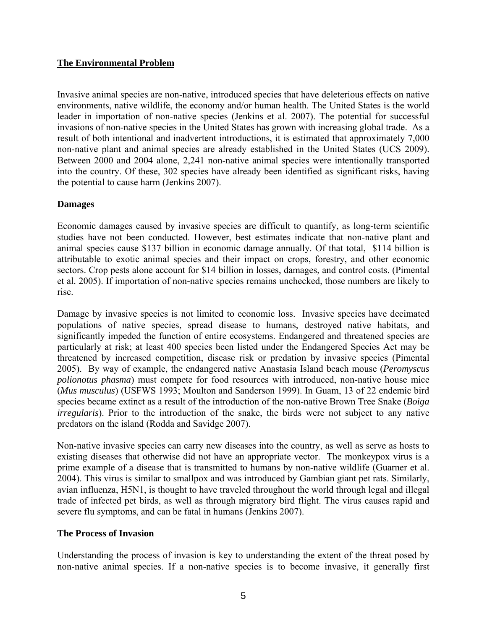#### **The Environmental Problem**

Invasive animal species are non-native, introduced species that have deleterious effects on native environments, native wildlife, the economy and/or human health. The United States is the world leader in importation of non-native species (Jenkins et al. 2007). The potential for successful invasions of non-native species in the United States has grown with increasing global trade. As a result of both intentional and inadvertent introductions, it is estimated that approximately 7,000 non-native plant and animal species are already established in the United States (UCS 2009). Between 2000 and 2004 alone, 2,241 non-native animal species were intentionally transported into the country. Of these, 302 species have already been identified as significant risks, having the potential to cause harm (Jenkins 2007).

#### **Damages**

Economic damages caused by invasive species are difficult to quantify, as long-term scientific studies have not been conducted. However, best estimates indicate that non-native plant and animal species cause \$137 billion in economic damage annually. Of that total, \$114 billion is attributable to exotic animal species and their impact on crops, forestry, and other economic sectors. Crop pests alone account for \$14 billion in losses, damages, and control costs. (Pimental et al. 2005). If importation of non-native species remains unchecked, those numbers are likely to rise.

Damage by invasive species is not limited to economic loss. Invasive species have decimated populations of native species, spread disease to humans, destroyed native habitats, and significantly impeded the function of entire ecosystems. Endangered and threatened species are particularly at risk; at least 400 species been listed under the Endangered Species Act may be threatened by increased competition, disease risk or predation by invasive species (Pimental 2005). By way of example, the endangered native Anastasia Island beach mouse (*Peromyscus polionotus phasma*) must compete for food resources with introduced, non-native house mice (*Mus musculus*) (USFWS 1993; Moulton and Sanderson 1999). In Guam, 13 of 22 endemic bird species became extinct as a result of the introduction of the non-native Brown Tree Snake (*Boiga irregularis*). Prior to the introduction of the snake, the birds were not subject to any native predators on the island (Rodda and Savidge 2007).

Non-native invasive species can carry new diseases into the country, as well as serve as hosts to existing diseases that otherwise did not have an appropriate vector. The monkeypox virus is a prime example of a disease that is transmitted to humans by non-native wildlife (Guarner et al. 2004). This virus is similar to smallpox and was introduced by Gambian giant pet rats. Similarly, avian influenza, H5N1, is thought to have traveled throughout the world through legal and illegal trade of infected pet birds, as well as through migratory bird flight. The virus causes rapid and severe flu symptoms, and can be fatal in humans (Jenkins 2007).

#### **The Process of Invasion**

Understanding the process of invasion is key to understanding the extent of the threat posed by non-native animal species. If a non-native species is to become invasive, it generally first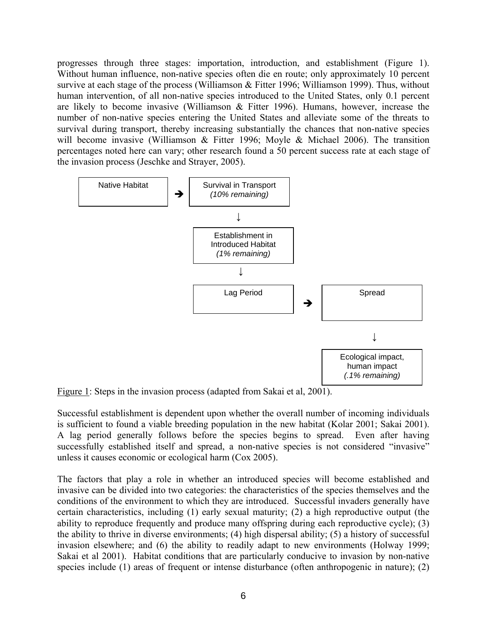progresses through three stages: importation, introduction, and establishment (Figure 1). Without human influence, non-native species often die en route; only approximately 10 percent survive at each stage of the process (Williamson & Fitter 1996; Williamson 1999). Thus, without human intervention, of all non-native species introduced to the United States, only 0.1 percent are likely to become invasive (Williamson & Fitter 1996). Humans, however, increase the number of non-native species entering the United States and alleviate some of the threats to survival during transport, thereby increasing substantially the chances that non-native species will become invasive (Williamson & Fitter 1996; Moyle & Michael 2006). The transition percentages noted here can vary; other research found a 50 percent success rate at each stage of the invasion process (Jeschke and Strayer, 2005).



Figure 1: Steps in the invasion process (adapted from Sakai et al, 2001).

Successful establishment is dependent upon whether the overall number of incoming individuals is sufficient to found a viable breeding population in the new habitat (Kolar 2001; Sakai 2001). A lag period generally follows before the species begins to spread. Even after having successfully established itself and spread, a non-native species is not considered "invasive" unless it causes economic or ecological harm (Cox 2005).

The factors that play a role in whether an introduced species will become established and invasive can be divided into two categories: the characteristics of the species themselves and the conditions of the environment to which they are introduced. Successful invaders generally have certain characteristics, including (1) early sexual maturity; (2) a high reproductive output (the ability to reproduce frequently and produce many offspring during each reproductive cycle); (3) the ability to thrive in diverse environments; (4) high dispersal ability; (5) a history of successful invasion elsewhere; and (6) the ability to readily adapt to new environments (Holway 1999; Sakai et al 2001). Habitat conditions that are particularly conducive to invasion by non-native species include (1) areas of frequent or intense disturbance (often anthropogenic in nature); (2)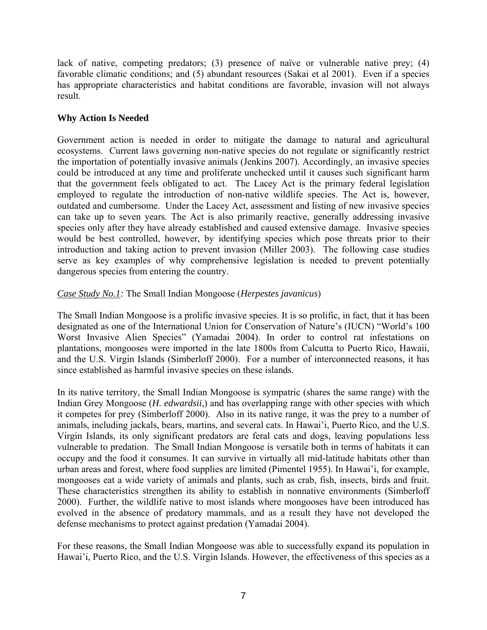lack of native, competing predators; (3) presence of naïve or vulnerable native prey; (4) favorable climatic conditions; and (5) abundant resources (Sakai et al 2001). Even if a species has appropriate characteristics and habitat conditions are favorable, invasion will not always result.

## **Why Action Is Needed**

Government action is needed in order to mitigate the damage to natural and agricultural ecosystems. Current laws governing non-native species do not regulate or significantly restrict the importation of potentially invasive animals (Jenkins 2007). Accordingly, an invasive species could be introduced at any time and proliferate unchecked until it causes such significant harm that the government feels obligated to act. The Lacey Act is the primary federal legislation employed to regulate the introduction of non-native wildlife species. The Act is, however, outdated and cumbersome. Under the Lacey Act, assessment and listing of new invasive species can take up to seven years. The Act is also primarily reactive, generally addressing invasive species only after they have already established and caused extensive damage. Invasive species would be best controlled, however, by identifying species which pose threats prior to their introduction and taking action to prevent invasion (Miller 2003). The following case studies serve as key examples of why comprehensive legislation is needed to prevent potentially dangerous species from entering the country.

## *Case Study No.1:* The Small Indian Mongoose (*Herpestes javanicus*)

The Small Indian Mongoose is a prolific invasive species. It is so prolific, in fact, that it has been designated as one of the International Union for Conservation of Nature's (IUCN) "World's 100 Worst Invasive Alien Species" (Yamadai 2004). In order to control rat infestations on plantations, mongooses were imported in the late 1800s from Calcutta to Puerto Rico, Hawaii, and the U.S. Virgin Islands (Simberloff 2000). For a number of interconnected reasons, it has since established as harmful invasive species on these islands.

In its native territory, the Small Indian Mongoose is sympatric (shares the same range) with the Indian Grey Mongoose (*H. edwardsii*,) and has overlapping range with other species with which it competes for prey (Simberloff 2000). Also in its native range, it was the prey to a number of animals, including jackals, bears, martins, and several cats. In Hawai'i, Puerto Rico, and the U.S. Virgin Islands, its only significant predators are feral cats and dogs, leaving populations less vulnerable to predation. The Small Indian Mongoose is versatile both in terms of habitats it can occupy and the food it consumes. It can survive in virtually all mid-latitude habitats other than urban areas and forest, where food supplies are limited (Pimentel 1955). In Hawai'i, for example, mongooses eat a wide variety of animals and plants, such as crab, fish, insects, birds and fruit. These characteristics strengthen its ability to establish in nonnative environments (Simberloff 2000). Further, the wildlife native to most islands where mongooses have been introduced has evolved in the absence of predatory mammals, and as a result they have not developed the defense mechanisms to protect against predation (Yamadai 2004).

For these reasons, the Small Indian Mongoose was able to successfully expand its population in Hawai'i, Puerto Rico, and the U.S. Virgin Islands. However, the effectiveness of this species as a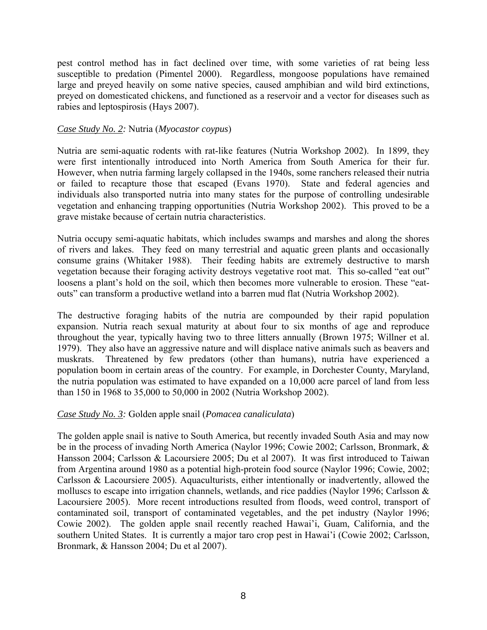pest control method has in fact declined over time, with some varieties of rat being less susceptible to predation (Pimentel 2000). Regardless, mongoose populations have remained large and preyed heavily on some native species, caused amphibian and wild bird extinctions, preyed on domesticated chickens, and functioned as a reservoir and a vector for diseases such as rabies and leptospirosis (Hays 2007).

#### *Case Study No. 2:* Nutria (*Myocastor coypus*)

Nutria are semi-aquatic rodents with rat-like features (Nutria Workshop 2002). In 1899, they were first intentionally introduced into North America from South America for their fur. However, when nutria farming largely collapsed in the 1940s, some ranchers released their nutria or failed to recapture those that escaped (Evans 1970). State and federal agencies and individuals also transported nutria into many states for the purpose of controlling undesirable vegetation and enhancing trapping opportunities (Nutria Workshop 2002). This proved to be a grave mistake because of certain nutria characteristics.

Nutria occupy semi-aquatic habitats, which includes swamps and marshes and along the shores of rivers and lakes. They feed on many terrestrial and aquatic green plants and occasionally consume grains (Whitaker 1988). Their feeding habits are extremely destructive to marsh vegetation because their foraging activity destroys vegetative root mat. This so-called "eat out" loosens a plant's hold on the soil, which then becomes more vulnerable to erosion. These "eatouts" can transform a productive wetland into a barren mud flat (Nutria Workshop 2002).

The destructive foraging habits of the nutria are compounded by their rapid population expansion. Nutria reach sexual maturity at about four to six months of age and reproduce throughout the year, typically having two to three litters annually (Brown 1975; Willner et al. 1979). They also have an aggressive nature and will displace native animals such as beavers and muskrats. Threatened by few predators (other than humans), nutria have experienced a population boom in certain areas of the country. For example, in Dorchester County, Maryland, the nutria population was estimated to have expanded on a 10,000 acre parcel of land from less than 150 in 1968 to 35,000 to 50,000 in 2002 (Nutria Workshop 2002).

#### *Case Study No. 3:* Golden apple snail (*Pomacea canaliculata*)

The golden apple snail is native to South America, but recently invaded South Asia and may now be in the process of invading North America (Naylor 1996; Cowie 2002; Carlsson, Bronmark, & Hansson 2004; Carlsson & Lacoursiere 2005; Du et al 2007). It was first introduced to Taiwan from Argentina around 1980 as a potential high-protein food source (Naylor 1996; Cowie, 2002; Carlsson & Lacoursiere 2005). Aquaculturists, either intentionally or inadvertently, allowed the molluscs to escape into irrigation channels, wetlands, and rice paddies (Naylor 1996; Carlsson & Lacoursiere 2005). More recent introductions resulted from floods, weed control, transport of contaminated soil, transport of contaminated vegetables, and the pet industry (Naylor 1996; Cowie 2002). The golden apple snail recently reached Hawai'i, Guam, California, and the southern United States. It is currently a major taro crop pest in Hawai'i (Cowie 2002; Carlsson, Bronmark, & Hansson 2004; Du et al 2007).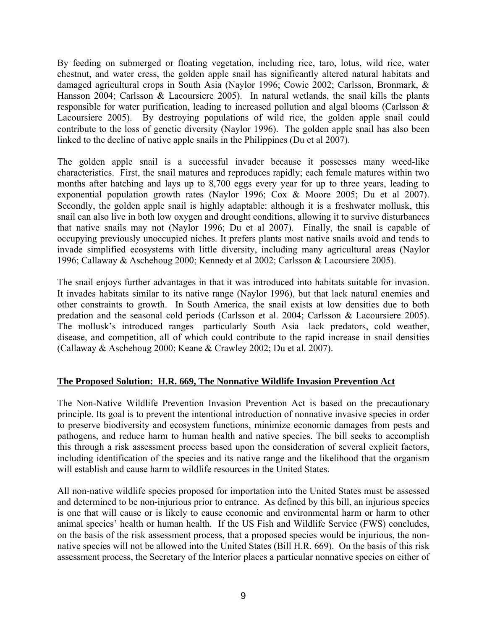By feeding on submerged or floating vegetation, including rice, taro, lotus, wild rice, water chestnut, and water cress, the golden apple snail has significantly altered natural habitats and damaged agricultural crops in South Asia (Naylor 1996; Cowie 2002; Carlsson, Bronmark, & Hansson 2004; Carlsson & Lacoursiere 2005). In natural wetlands, the snail kills the plants responsible for water purification, leading to increased pollution and algal blooms (Carlsson & Lacoursiere 2005). By destroying populations of wild rice, the golden apple snail could contribute to the loss of genetic diversity (Naylor 1996). The golden apple snail has also been linked to the decline of native apple snails in the Philippines (Du et al 2007).

The golden apple snail is a successful invader because it possesses many weed-like characteristics. First, the snail matures and reproduces rapidly; each female matures within two months after hatching and lays up to 8,700 eggs every year for up to three years, leading to exponential population growth rates (Naylor 1996; Cox & Moore 2005; Du et al 2007). Secondly, the golden apple snail is highly adaptable: although it is a freshwater mollusk, this snail can also live in both low oxygen and drought conditions, allowing it to survive disturbances that native snails may not (Naylor 1996; Du et al 2007). Finally, the snail is capable of occupying previously unoccupied niches. It prefers plants most native snails avoid and tends to invade simplified ecosystems with little diversity, including many agricultural areas (Naylor 1996; Callaway & Aschehoug 2000; Kennedy et al 2002; Carlsson & Lacoursiere 2005).

The snail enjoys further advantages in that it was introduced into habitats suitable for invasion. It invades habitats similar to its native range (Naylor 1996), but that lack natural enemies and other constraints to growth. In South America, the snail exists at low densities due to both predation and the seasonal cold periods (Carlsson et al. 2004; Carlsson & Lacoursiere 2005). The mollusk's introduced ranges—particularly South Asia—lack predators, cold weather, disease, and competition, all of which could contribute to the rapid increase in snail densities (Callaway & Aschehoug 2000; Keane & Crawley 2002; Du et al. 2007).

## **The Proposed Solution: H.R. 669, The Nonnative Wildlife Invasion Prevention Act**

The Non-Native Wildlife Prevention Invasion Prevention Act is based on the precautionary principle. Its goal is to prevent the intentional introduction of nonnative invasive species in order to preserve biodiversity and ecosystem functions, minimize economic damages from pests and pathogens, and reduce harm to human health and native species. The bill seeks to accomplish this through a risk assessment process based upon the consideration of several explicit factors, including identification of the species and its native range and the likelihood that the organism will establish and cause harm to wildlife resources in the United States.

All non-native wildlife species proposed for importation into the United States must be assessed and determined to be non-injurious prior to entrance. As defined by this bill, an injurious species is one that will cause or is likely to cause economic and environmental harm or harm to other animal species' health or human health. If the US Fish and Wildlife Service (FWS) concludes, on the basis of the risk assessment process, that a proposed species would be injurious, the nonnative species will not be allowed into the United States (Bill H.R. 669). On the basis of this risk assessment process, the Secretary of the Interior places a particular nonnative species on either of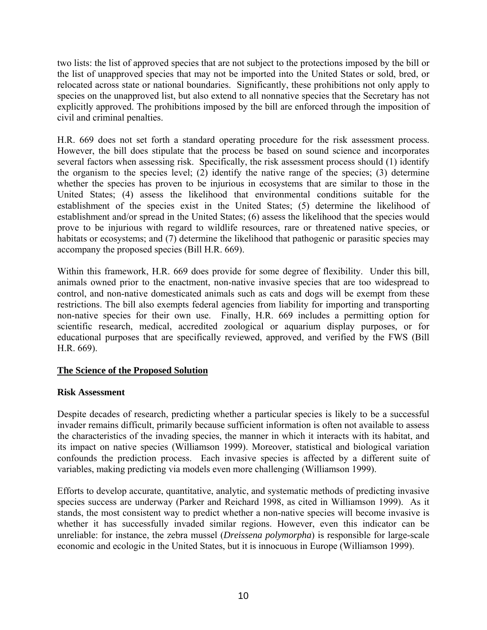two lists: the list of approved species that are not subject to the protections imposed by the bill or the list of unapproved species that may not be imported into the United States or sold, bred, or relocated across state or national boundaries. Significantly, these prohibitions not only apply to species on the unapproved list, but also extend to all nonnative species that the Secretary has not explicitly approved. The prohibitions imposed by the bill are enforced through the imposition of civil and criminal penalties.

H.R. 669 does not set forth a standard operating procedure for the risk assessment process. However, the bill does stipulate that the process be based on sound science and incorporates several factors when assessing risk. Specifically, the risk assessment process should (1) identify the organism to the species level; (2) identify the native range of the species; (3) determine whether the species has proven to be injurious in ecosystems that are similar to those in the United States; (4) assess the likelihood that environmental conditions suitable for the establishment of the species exist in the United States; (5) determine the likelihood of establishment and/or spread in the United States; (6) assess the likelihood that the species would prove to be injurious with regard to wildlife resources, rare or threatened native species, or habitats or ecosystems; and (7) determine the likelihood that pathogenic or parasitic species may accompany the proposed species (Bill H.R. 669).

Within this framework, H.R. 669 does provide for some degree of flexibility. Under this bill, animals owned prior to the enactment, non-native invasive species that are too widespread to control, and non-native domesticated animals such as cats and dogs will be exempt from these restrictions. The bill also exempts federal agencies from liability for importing and transporting non-native species for their own use. Finally, H.R. 669 includes a permitting option for scientific research, medical, accredited zoological or aquarium display purposes, or for educational purposes that are specifically reviewed, approved, and verified by the FWS (Bill H.R. 669).

## **The Science of the Proposed Solution**

#### **Risk Assessment**

Despite decades of research, predicting whether a particular species is likely to be a successful invader remains difficult, primarily because sufficient information is often not available to assess the characteristics of the invading species, the manner in which it interacts with its habitat, and its impact on native species (Williamson 1999). Moreover, statistical and biological variation confounds the prediction process. Each invasive species is affected by a different suite of variables, making predicting via models even more challenging (Williamson 1999).

Efforts to develop accurate, quantitative, analytic, and systematic methods of predicting invasive species success are underway (Parker and Reichard 1998, as cited in Williamson 1999). As it stands, the most consistent way to predict whether a non-native species will become invasive is whether it has successfully invaded similar regions. However, even this indicator can be unreliable: for instance, the zebra mussel (*Dreissena polymorpha*) is responsible for large-scale economic and ecologic in the United States, but it is innocuous in Europe (Williamson 1999).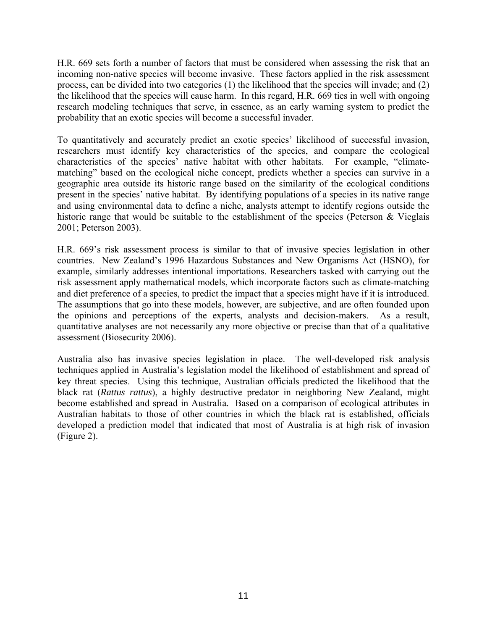H.R. 669 sets forth a number of factors that must be considered when assessing the risk that an incoming non-native species will become invasive. These factors applied in the risk assessment process, can be divided into two categories (1) the likelihood that the species will invade; and (2) the likelihood that the species will cause harm. In this regard, H.R. 669 ties in well with ongoing research modeling techniques that serve, in essence, as an early warning system to predict the probability that an exotic species will become a successful invader.

To quantitatively and accurately predict an exotic species' likelihood of successful invasion, researchers must identify key characteristics of the species, and compare the ecological characteristics of the species' native habitat with other habitats. For example, "climatematching" based on the ecological niche concept, predicts whether a species can survive in a geographic area outside its historic range based on the similarity of the ecological conditions present in the species' native habitat. By identifying populations of a species in its native range and using environmental data to define a niche, analysts attempt to identify regions outside the historic range that would be suitable to the establishment of the species (Peterson & Vieglais 2001; Peterson 2003).

H.R. 669's risk assessment process is similar to that of invasive species legislation in other countries. New Zealand's 1996 Hazardous Substances and New Organisms Act (HSNO), for example, similarly addresses intentional importations. Researchers tasked with carrying out the risk assessment apply mathematical models, which incorporate factors such as climate-matching and diet preference of a species, to predict the impact that a species might have if it is introduced. The assumptions that go into these models, however, are subjective, and are often founded upon the opinions and perceptions of the experts, analysts and decision-makers. As a result, quantitative analyses are not necessarily any more objective or precise than that of a qualitative assessment (Biosecurity 2006).

Australia also has invasive species legislation in place. The well-developed risk analysis techniques applied in Australia's legislation model the likelihood of establishment and spread of key threat species. Using this technique, Australian officials predicted the likelihood that the black rat (*Rattus rattus*), a highly destructive predator in neighboring New Zealand, might become established and spread in Australia. Based on a comparison of ecological attributes in Australian habitats to those of other countries in which the black rat is established, officials developed a prediction model that indicated that most of Australia is at high risk of invasion (Figure 2).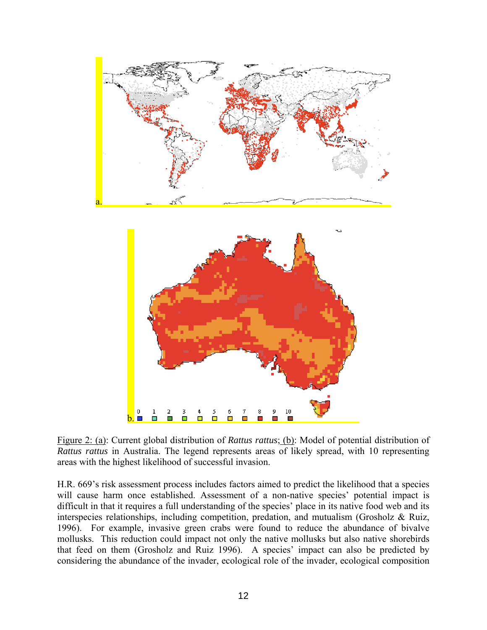

Figure 2: (a): Current global distribution of *Rattus rattus*; (b): Model of potential distribution of *Rattus rattus* in Australia. The legend represents areas of likely spread, with 10 representing areas with the highest likelihood of successful invasion.

H.R. 669's risk assessment process includes factors aimed to predict the likelihood that a species will cause harm once established. Assessment of a non-native species' potential impact is difficult in that it requires a full understanding of the species' place in its native food web and its interspecies relationships, including competition, predation, and mutualism (Grosholz & Ruiz, 1996). For example, invasive green crabs were found to reduce the abundance of bivalve mollusks. This reduction could impact not only the native mollusks but also native shorebirds that feed on them (Grosholz and Ruiz 1996). A species' impact can also be predicted by considering the abundance of the invader, ecological role of the invader, ecological composition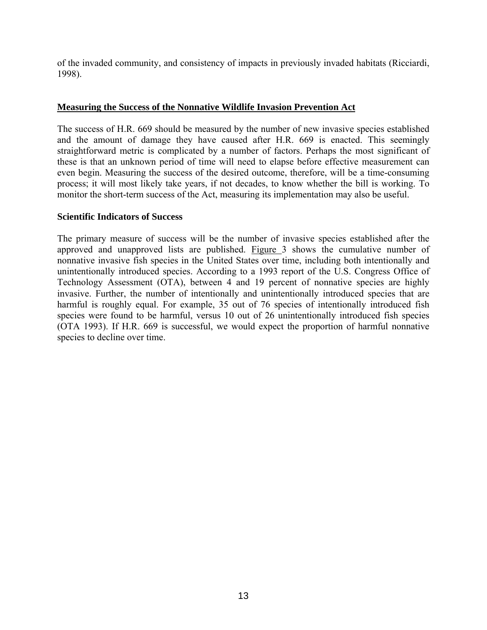of the invaded community, and consistency of impacts in previously invaded habitats (Ricciardi, 1998).

#### **Measuring the Success of the Nonnative Wildlife Invasion Prevention Act**

The success of H.R. 669 should be measured by the number of new invasive species established and the amount of damage they have caused after H.R. 669 is enacted. This seemingly straightforward metric is complicated by a number of factors. Perhaps the most significant of these is that an unknown period of time will need to elapse before effective measurement can even begin. Measuring the success of the desired outcome, therefore, will be a time-consuming process; it will most likely take years, if not decades, to know whether the bill is working. To monitor the short-term success of the Act, measuring its implementation may also be useful.

#### **Scientific Indicators of Success**

The primary measure of success will be the number of invasive species established after the approved and unapproved lists are published. Figure 3 shows the cumulative number of nonnative invasive fish species in the United States over time, including both intentionally and unintentionally introduced species. According to a 1993 report of the U.S. Congress Office of Technology Assessment (OTA), between 4 and 19 percent of nonnative species are highly invasive. Further, the number of intentionally and unintentionally introduced species that are harmful is roughly equal. For example, 35 out of 76 species of intentionally introduced fish species were found to be harmful, versus 10 out of 26 unintentionally introduced fish species (OTA 1993). If H.R. 669 is successful, we would expect the proportion of harmful nonnative species to decline over time.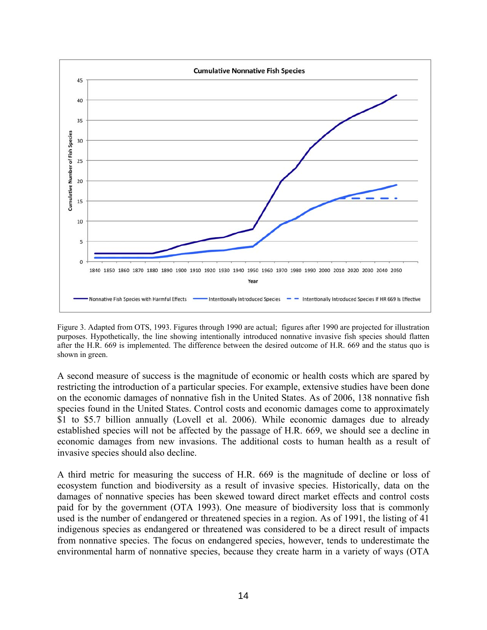

Figure 3. Adapted from OTS, 1993. Figures through 1990 are actual; figures after 1990 are projected for illustration purposes. Hypothetically, the line showing intentionally introduced nonnative invasive fish species should flatten after the H.R. 669 is implemented. The difference between the desired outcome of H.R. 669 and the status quo is shown in green.

A second measure of success is the magnitude of economic or health costs which are spared by restricting the introduction of a particular species. For example, extensive studies have been done on the economic damages of nonnative fish in the United States. As of 2006, 138 nonnative fish species found in the United States. Control costs and economic damages come to approximately \$1 to \$5.7 billion annually (Lovell et al. 2006). While economic damages due to already established species will not be affected by the passage of H.R. 669, we should see a decline in economic damages from new invasions. The additional costs to human health as a result of invasive species should also decline.

A third metric for measuring the success of H.R. 669 is the magnitude of decline or loss of ecosystem function and biodiversity as a result of invasive species. Historically, data on the damages of nonnative species has been skewed toward direct market effects and control costs paid for by the government (OTA 1993). One measure of biodiversity loss that is commonly used is the number of endangered or threatened species in a region. As of 1991, the listing of 41 indigenous species as endangered or threatened was considered to be a direct result of impacts from nonnative species. The focus on endangered species, however, tends to underestimate the environmental harm of nonnative species, because they create harm in a variety of ways (OTA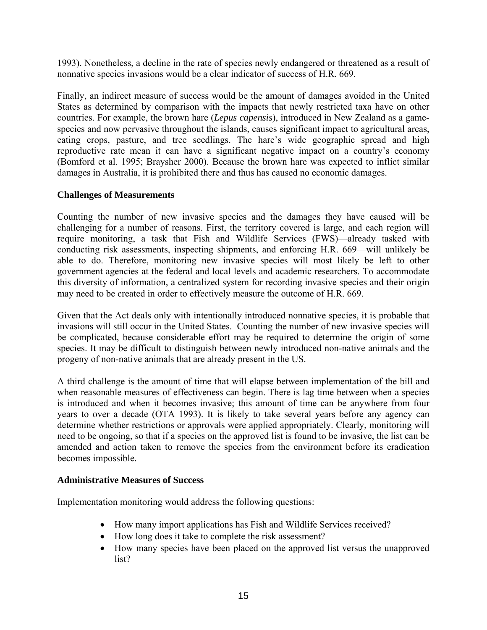1993). Nonetheless, a decline in the rate of species newly endangered or threatened as a result of nonnative species invasions would be a clear indicator of success of H.R. 669.

Finally, an indirect measure of success would be the amount of damages avoided in the United States as determined by comparison with the impacts that newly restricted taxa have on other countries. For example, the brown hare (*Lepus capensis*), introduced in New Zealand as a gamespecies and now pervasive throughout the islands, causes significant impact to agricultural areas, eating crops, pasture, and tree seedlings. The hare's wide geographic spread and high reproductive rate mean it can have a significant negative impact on a country's economy (Bomford et al. 1995; Braysher 2000). Because the brown hare was expected to inflict similar damages in Australia, it is prohibited there and thus has caused no economic damages.

## **Challenges of Measurements**

Counting the number of new invasive species and the damages they have caused will be challenging for a number of reasons. First, the territory covered is large, and each region will require monitoring, a task that Fish and Wildlife Services (FWS)—already tasked with conducting risk assessments, inspecting shipments, and enforcing H.R. 669—will unlikely be able to do. Therefore, monitoring new invasive species will most likely be left to other government agencies at the federal and local levels and academic researchers. To accommodate this diversity of information, a centralized system for recording invasive species and their origin may need to be created in order to effectively measure the outcome of H.R. 669.

Given that the Act deals only with intentionally introduced nonnative species, it is probable that invasions will still occur in the United States. Counting the number of new invasive species will be complicated, because considerable effort may be required to determine the origin of some species. It may be difficult to distinguish between newly introduced non-native animals and the progeny of non-native animals that are already present in the US.

A third challenge is the amount of time that will elapse between implementation of the bill and when reasonable measures of effectiveness can begin. There is lag time between when a species is introduced and when it becomes invasive; this amount of time can be anywhere from four years to over a decade (OTA 1993). It is likely to take several years before any agency can determine whether restrictions or approvals were applied appropriately. Clearly, monitoring will need to be ongoing, so that if a species on the approved list is found to be invasive, the list can be amended and action taken to remove the species from the environment before its eradication becomes impossible.

#### **Administrative Measures of Success**

Implementation monitoring would address the following questions:

- How many import applications has Fish and Wildlife Services received?
- How long does it take to complete the risk assessment?
- How many species have been placed on the approved list versus the unapproved list?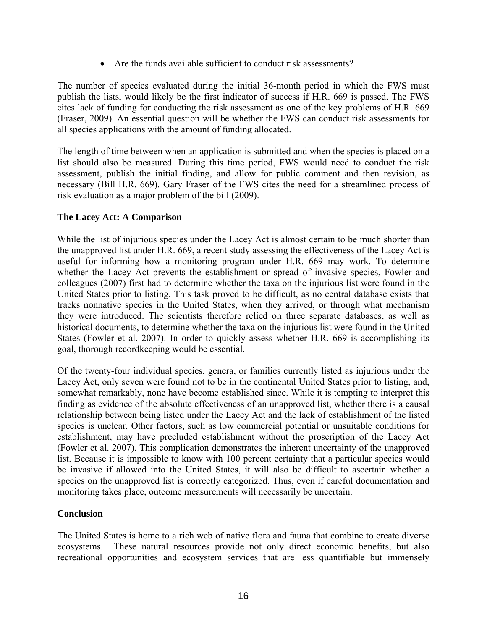• Are the funds available sufficient to conduct risk assessments?

The number of species evaluated during the initial 36-month period in which the FWS must publish the lists, would likely be the first indicator of success if H.R. 669 is passed. The FWS cites lack of funding for conducting the risk assessment as one of the key problems of H.R. 669 (Fraser, 2009). An essential question will be whether the FWS can conduct risk assessments for all species applications with the amount of funding allocated.

The length of time between when an application is submitted and when the species is placed on a list should also be measured. During this time period, FWS would need to conduct the risk assessment, publish the initial finding, and allow for public comment and then revision, as necessary (Bill H.R. 669). Gary Fraser of the FWS cites the need for a streamlined process of risk evaluation as a major problem of the bill (2009).

## **The Lacey Act: A Comparison**

While the list of injurious species under the Lacey Act is almost certain to be much shorter than the unapproved list under H.R. 669, a recent study assessing the effectiveness of the Lacey Act is useful for informing how a monitoring program under H.R. 669 may work. To determine whether the Lacey Act prevents the establishment or spread of invasive species, Fowler and colleagues (2007) first had to determine whether the taxa on the injurious list were found in the United States prior to listing. This task proved to be difficult, as no central database exists that tracks nonnative species in the United States, when they arrived, or through what mechanism they were introduced. The scientists therefore relied on three separate databases, as well as historical documents, to determine whether the taxa on the injurious list were found in the United States (Fowler et al. 2007). In order to quickly assess whether H.R. 669 is accomplishing its goal, thorough recordkeeping would be essential.

Of the twenty-four individual species, genera, or families currently listed as injurious under the Lacey Act, only seven were found not to be in the continental United States prior to listing, and, somewhat remarkably, none have become established since. While it is tempting to interpret this finding as evidence of the absolute effectiveness of an unapproved list, whether there is a causal relationship between being listed under the Lacey Act and the lack of establishment of the listed species is unclear. Other factors, such as low commercial potential or unsuitable conditions for establishment, may have precluded establishment without the proscription of the Lacey Act (Fowler et al. 2007). This complication demonstrates the inherent uncertainty of the unapproved list. Because it is impossible to know with 100 percent certainty that a particular species would be invasive if allowed into the United States, it will also be difficult to ascertain whether a species on the unapproved list is correctly categorized. Thus, even if careful documentation and monitoring takes place, outcome measurements will necessarily be uncertain.

## **Conclusion**

The United States is home to a rich web of native flora and fauna that combine to create diverse ecosystems. These natural resources provide not only direct economic benefits, but also recreational opportunities and ecosystem services that are less quantifiable but immensely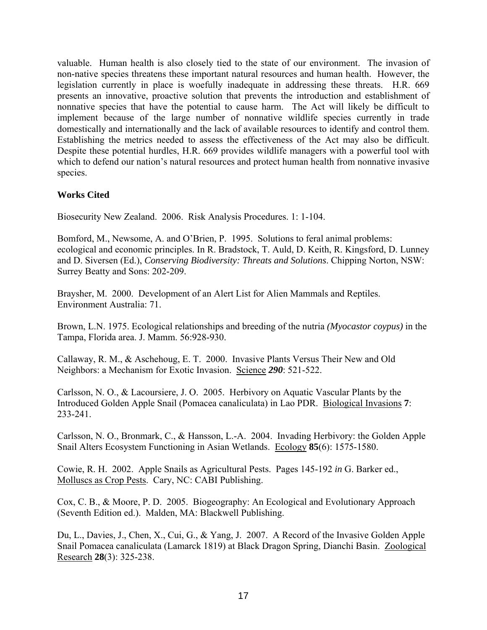valuable. Human health is also closely tied to the state of our environment. The invasion of non-native species threatens these important natural resources and human health. However, the legislation currently in place is woefully inadequate in addressing these threats. H.R. 669 presents an innovative, proactive solution that prevents the introduction and establishment of nonnative species that have the potential to cause harm. The Act will likely be difficult to implement because of the large number of nonnative wildlife species currently in trade domestically and internationally and the lack of available resources to identify and control them. Establishing the metrics needed to assess the effectiveness of the Act may also be difficult. Despite these potential hurdles, H.R. 669 provides wildlife managers with a powerful tool with which to defend our nation's natural resources and protect human health from nonnative invasive species.

## **Works Cited**

Biosecurity New Zealand. 2006. Risk Analysis Procedures. 1: 1-104.

Bomford, M., Newsome, A. and O'Brien, P. 1995. Solutions to feral animal problems: ecological and economic principles. In R. Bradstock, T. Auld, D. Keith, R. Kingsford, D. Lunney and D. Siversen (Ed.), *Conserving Biodiversity: Threats and Solutions*. Chipping Norton, NSW: Surrey Beatty and Sons: 202-209.

Braysher, M. 2000. Development of an Alert List for Alien Mammals and Reptiles. Environment Australia: 71.

Brown, L.N. 1975. Ecological relationships and breeding of the nutria *(Myocastor coypus)* in the Tampa, Florida area. J. Mamm. 56:928-930.

Callaway, R. M., & Aschehoug, E. T. 2000. Invasive Plants Versus Their New and Old Neighbors: a Mechanism for Exotic Invasion. Science *290*: 521-522.

Carlsson, N. O., & Lacoursiere, J. O. 2005. Herbivory on Aquatic Vascular Plants by the Introduced Golden Apple Snail (Pomacea canaliculata) in Lao PDR. Biological Invasions **7**: 233-241.

Carlsson, N. O., Bronmark, C., & Hansson, L.-A. 2004. Invading Herbivory: the Golden Apple Snail Alters Ecosystem Functioning in Asian Wetlands. Ecology **85**(6): 1575-1580.

Cowie, R. H. 2002. Apple Snails as Agricultural Pests. Pages 145-192 *in* G. Barker ed., Molluscs as Crop Pests. Cary, NC: CABI Publishing.

Cox, C. B., & Moore, P. D. 2005. Biogeography: An Ecological and Evolutionary Approach (Seventh Edition ed.). Malden, MA: Blackwell Publishing.

Du, L., Davies, J., Chen, X., Cui, G., & Yang, J. 2007. A Record of the Invasive Golden Apple Snail Pomacea canaliculata (Lamarck 1819) at Black Dragon Spring, Dianchi Basin. Zoological Research **28**(3): 325-238.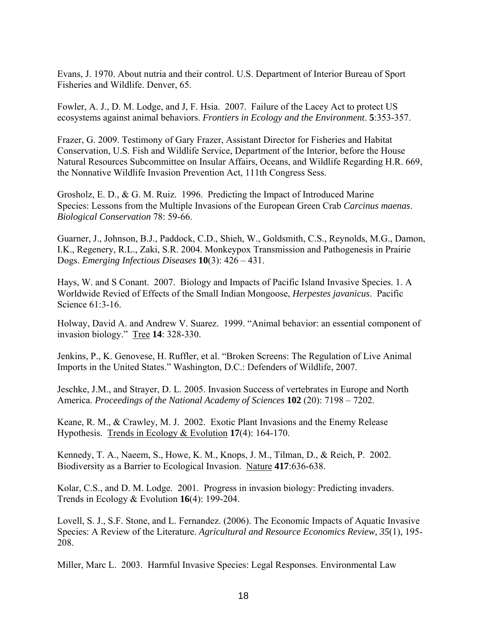Evans, J. 1970. About nutria and their control. U.S. Department of Interior Bureau of Sport Fisheries and Wildlife. Denver, 65.

Fowler, A. J., D. M. Lodge, and J, F. Hsia. 2007. Failure of the Lacey Act to protect US ecosystems against animal behaviors. *Frontiers in Ecology and the Environment*. **5**:353-357.

Frazer, G. 2009. Testimony of Gary Frazer, Assistant Director for Fisheries and Habitat Conservation, U.S. Fish and Wildlife Service, Department of the Interior, before the House Natural Resources Subcommittee on Insular Affairs, Oceans, and Wildlife Regarding H.R. 669, the Nonnative Wildlife Invasion Prevention Act, 111th Congress Sess.

Grosholz, E. D., & G. M. Ruiz. 1996. Predicting the Impact of Introduced Marine Species: Lessons from the Multiple Invasions of the European Green Crab *Carcinus maenas*. *Biological Conservation* 78: 59-66.

Guarner, J., Johnson, B.J., Paddock, C.D., Shieh, W., Goldsmith, C.S., Reynolds, M.G., Damon, I.K., Regenery, R.L., Zaki, S.R. 2004. Monkeypox Transmission and Pathogenesis in Prairie Dogs. *Emerging Infectious Diseases* **10**(3): 426 – 431.

Hays, W. and S Conant. 2007. Biology and Impacts of Pacific Island Invasive Species. 1. A Worldwide Revied of Effects of the Small Indian Mongoose, *Herpestes javanicus*. Pacific Science 61:3-16.

Holway, David A. and Andrew V. Suarez. 1999. "Animal behavior: an essential component of invasion biology." Tree **14**: 328-330.

Jenkins, P., K. Genovese, H. Ruffler, et al. "Broken Screens: The Regulation of Live Animal Imports in the United States." Washington, D.C.: Defenders of Wildlife, 2007.

Jeschke, J.M., and Strayer, D. L. 2005. Invasion Success of vertebrates in Europe and North America. *Proceedings of the National Academy of Sciences* **102** (20): 7198 – 7202.

Keane, R. M., & Crawley, M. J. 2002. Exotic Plant Invasions and the Enemy Release Hypothesis. Trends in Ecology & Evolution **17**(4): 164-170.

Kennedy, T. A., Naeem, S., Howe, K. M., Knops, J. M., Tilman, D., & Reich, P. 2002. Biodiversity as a Barrier to Ecological Invasion. Nature **417**:636-638.

Kolar, C.S., and D. M. Lodge. 2001. Progress in invasion biology: Predicting invaders. Trends in Ecology & Evolution **16**(4): 199-204.

Lovell, S. J., S.F. Stone, and L. Fernandez. (2006). The Economic Impacts of Aquatic Invasive Species: A Review of the Literature. *Agricultural and Resource Economics Review, 35*(1), 195- 208.

Miller, Marc L. 2003. Harmful Invasive Species: Legal Responses. Environmental Law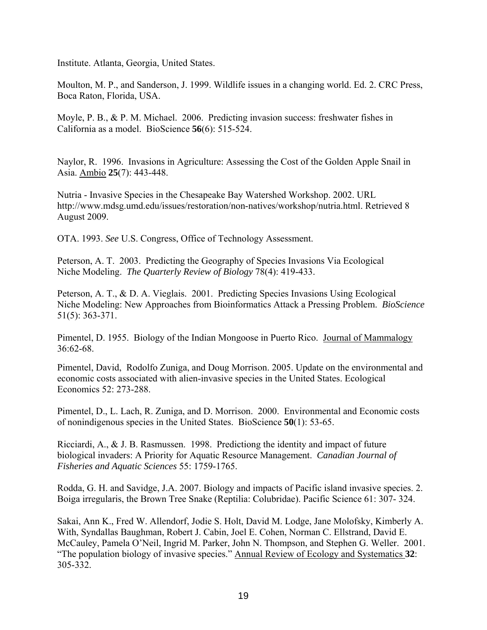Institute. Atlanta, Georgia, United States.

Moulton, M. P., and Sanderson, J. 1999. Wildlife issues in a changing world. Ed. 2. CRC Press, Boca Raton, Florida, USA.

Moyle, P. B., & P. M. Michael. 2006. Predicting invasion success: freshwater fishes in California as a model. BioScience **56**(6): 515-524.

Naylor, R. 1996. Invasions in Agriculture: Assessing the Cost of the Golden Apple Snail in Asia. Ambio **25**(7): 443-448.

Nutria - Invasive Species in the Chesapeake Bay Watershed Workshop. 2002. URL http://www.mdsg.umd.edu/issues/restoration/non-natives/workshop/nutria.html. Retrieved 8 August 2009.

OTA. 1993. *See* U.S. Congress, Office of Technology Assessment.

Peterson, A. T. 2003. Predicting the Geography of Species Invasions Via Ecological Niche Modeling. *The Quarterly Review of Biology* 78(4): 419-433.

Peterson, A. T., & D. A. Vieglais. 2001. Predicting Species Invasions Using Ecological Niche Modeling: New Approaches from Bioinformatics Attack a Pressing Problem. *BioScience*  51(5): 363-371.

Pimentel, D. 1955. Biology of the Indian Mongoose in Puerto Rico. Journal of Mammalogy 36:62-68.

Pimentel, David, Rodolfo Zuniga, and Doug Morrison. 2005. Update on the environmental and economic costs associated with alien-invasive species in the United States. Ecological Economics 52: 273-288.

Pimentel, D., L. Lach, R. Zuniga, and D. Morrison. 2000. Environmental and Economic costs of nonindigenous species in the United States. BioScience **50**(1): 53-65.

Ricciardi, A., & J. B. Rasmussen. 1998. Predictiong the identity and impact of future biological invaders: A Priority for Aquatic Resource Management. *Canadian Journal of Fisheries and Aquatic Sciences* 55: 1759-1765.

Rodda, G. H. and Savidge, J.A. 2007. Biology and impacts of Pacific island invasive species. 2. Boiga irregularis, the Brown Tree Snake (Reptilia: Colubridae). Pacific Science 61: 307- 324.

Sakai, Ann K., Fred W. Allendorf, Jodie S. Holt, David M. Lodge, Jane Molofsky, Kimberly A. With, Syndallas Baughman, Robert J. Cabin, Joel E. Cohen, Norman C. Ellstrand, David E. McCauley, Pamela O'Neil, Ingrid M. Parker, John N. Thompson, and Stephen G. Weller. 2001. "The population biology of invasive species." Annual Review of Ecology and Systematics **32**: 305-332.